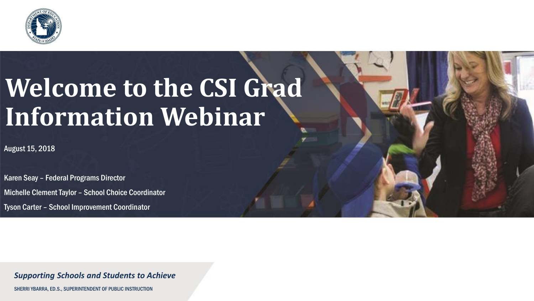

### **Welcome to the CSI Grad Information Webinar**

August 15, 2018

Karen Seay – Federal Programs Director Michelle Clement Taylor – School Choice Coordinator Tyson Carter – School Improvement Coordinator

*Supporting Schools and Students to Achieve*

SHERRI YBARRA, ED.S., SUPERINTENDENT OF PUBLIC INSTRUCTION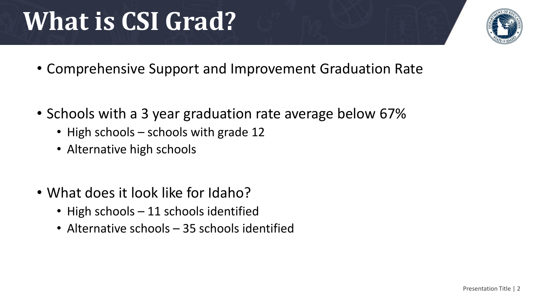## **What is CSI Grad?**

- Comprehensive Support and Improvement Graduation Rate
- Schools with a 3 year graduation rate average below 67%
	- High schools schools with grade 12
	- Alternative high schools
- What does it look like for Idaho?
	- High schools 11 schools identified
	- Alternative schools 35 schools identified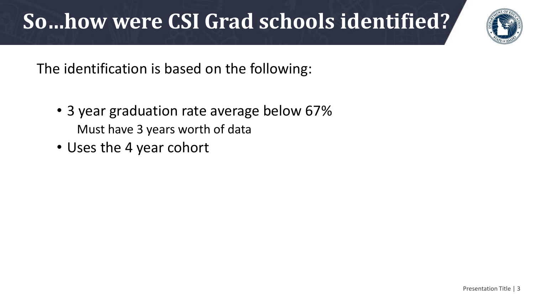### **So…how were CSI Grad schools identified?**

The identification is based on the following:

- 3 year graduation rate average below 67% Must have 3 years worth of data
- Uses the 4 year cohort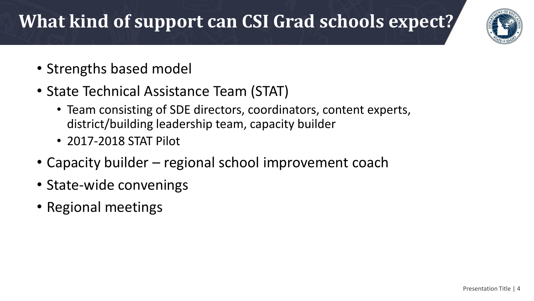#### **What kind of support can CSI Grad schools expect?**



- Strengths based model
- State Technical Assistance Team (STAT)
	- Team consisting of SDE directors, coordinators, content experts, district/building leadership team, capacity builder
	- 2017-2018 STAT Pilot
- Capacity builder regional school improvement coach
- State-wide convenings
- Regional meetings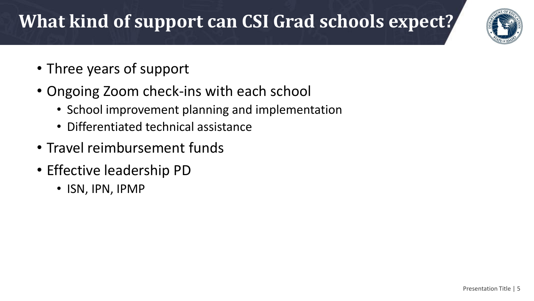#### **What kind of support can CSI Grad schools expect?**



- Three years of support
- Ongoing Zoom check-ins with each school
	- School improvement planning and implementation
	- Differentiated technical assistance
- Travel reimbursement funds
- Effective leadership PD
	- ISN, IPN, IPMP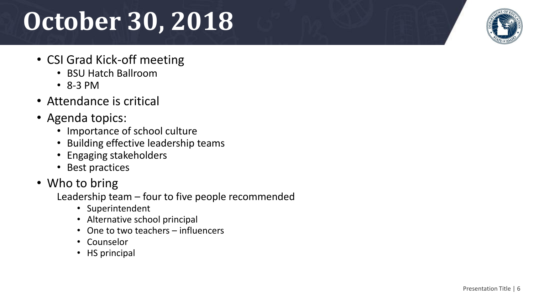# **October 30, 2018**

- CSI Grad Kick-off meeting
	- BSU Hatch Ballroom
	- 8-3 PM
- Attendance is critical
- Agenda topics:
	- Importance of school culture
	- Building effective leadership teams
	- Engaging stakeholders
	- Best practices
- Who to bring

Leadership team – four to five people recommended

- Superintendent
- Alternative school principal
- One to two teachers influencers
- Counselor
- HS principal

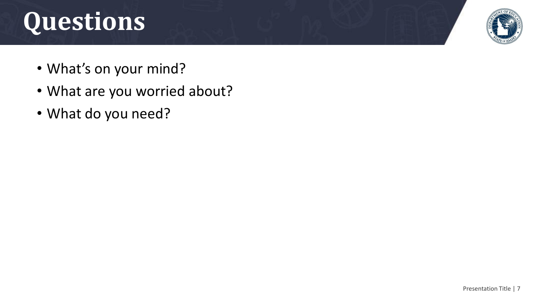# **Questions**



- What's on your mind?
- What are you worried about?
- What do you need?